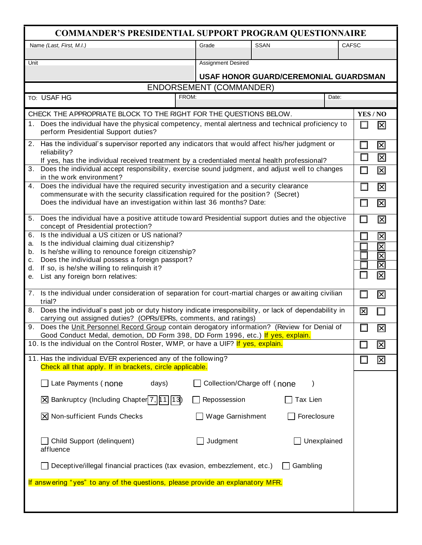| <b>COMMANDER'S PRESIDENTIAL SUPPORT PROGRAM QUESTIONNAIRE</b>                                                                                                                    |                             |             |              |                         |                           |  |
|----------------------------------------------------------------------------------------------------------------------------------------------------------------------------------|-----------------------------|-------------|--------------|-------------------------|---------------------------|--|
| Name (Last, First, M.I.)                                                                                                                                                         | Grade                       | <b>SSAN</b> | <b>CAFSC</b> |                         |                           |  |
| Unit                                                                                                                                                                             | <b>Assignment Desired</b>   |             |              |                         |                           |  |
|                                                                                                                                                                                  |                             |             |              |                         |                           |  |
| USAF HONOR GUARD/CEREMONIAL GUARDSMAN<br><b>ENDORSEMENT (COMMANDER)</b>                                                                                                          |                             |             |              |                         |                           |  |
| FROM:<br>TO: USAF HG                                                                                                                                                             |                             |             | Date:        |                         |                           |  |
|                                                                                                                                                                                  |                             |             |              |                         |                           |  |
| CHECK THE APPROPRIATE BLOCK TO THE RIGHT FOR THE QUESTIONS BELOW.<br>1. Does the individual have the physical competency, mental alertness and technical proficiency to          |                             |             |              | YES/NO                  |                           |  |
| perform Presidential Support duties?                                                                                                                                             |                             |             |              |                         | 区                         |  |
| 2. Has the individual's supervisor reported any indicators that would affect his/her judgment or                                                                                 |                             |             |              | $\Box$                  | 区                         |  |
| reliability?<br>If yes, has the individual received treatment by a credentialed mental health professional?                                                                      |                             |             |              | $\Box$                  | 冈                         |  |
| 3.<br>Does the individual accept responsibility, exercise sound judgment, and adjust well to changes                                                                             |                             |             |              | $\Box$                  | 冈                         |  |
| in the work environment?                                                                                                                                                         |                             |             |              |                         |                           |  |
| Does the individual have the required security investigation and a security clearance<br>4.<br>commensurate with the security classification required for the position? (Secret) |                             |             |              | □                       | 冈                         |  |
| Does the individual have an investigation within last 36 months? Date:                                                                                                           |                             |             |              | $\Box$                  | 区                         |  |
| Does the individual have a positive attitude toward Presidential support duties and the objective<br>5 <sub>1</sub><br>concept of Presidential protection?                       |                             |             |              |                         | 区                         |  |
| 6.<br>Is the individual a US citizen or US national?                                                                                                                             |                             |             |              | ш                       | 冈                         |  |
| Is the individual claiming dual citizenship?<br>a.                                                                                                                               |                             |             |              |                         | $\overline{\boxtimes}$    |  |
| Is he/she willing to renounce foreign citizenship?<br>b.<br>Does the individual possess a foreign passport?                                                                      |                             |             |              |                         | $\overline{\mathsf{x}}$   |  |
| с.<br>If so, is he/she willing to relinquish it?<br>d.                                                                                                                           |                             |             |              |                         | $\overline{\mathsf{x}}$   |  |
| List any foreign born relatives:<br>е.                                                                                                                                           |                             |             |              |                         |                           |  |
| 7. Is the individual under consideration of separation for court-martial charges or awaiting civilian<br>trial?                                                                  |                             |             |              |                         | $\overline{\mathsf{x}}$   |  |
| 8. Does the individual's past job or duty history indicate irresponsibility, or lack of dependability in                                                                         |                             |             |              | $\overline{\mathsf{x}}$ | П                         |  |
| carrying out assigned duties? (OPRs/EPRs, comments, and ratings)<br>9. Does the Unit Personnel Record Group contain derogatory information? (Review for Denial of                |                             |             |              |                         | 図                         |  |
| Good Conduct Medal, demotion, DD Form 398, DD Form 1996, etc.) If yes, explain.                                                                                                  |                             |             |              |                         |                           |  |
| 10. Is the individual on the Control Roster, WMP, or have a UIF? If yes, explain.                                                                                                |                             |             |              |                         | $ \overline{\mathsf{x}} $ |  |
| 11. Has the individual EVER experienced any of the following?<br>Check all that apply. If in brackets, circle applicable.                                                        |                             |             |              |                         | 図                         |  |
| Late Payments (none<br>days)                                                                                                                                                     | Collection/Charge off (none |             |              |                         |                           |  |
| X Bankruptcy (Including Chapter 7,   1 1   1 3   1                                                                                                                               | Repossession                | Tax Lien    |              |                         |                           |  |
| $ \overline{\mathsf{X}} $ Non-sufficient Funds Checks                                                                                                                            | Wage Garnishment            | Foreclosure |              |                         |                           |  |
| Child Support (delinquent)<br>affluence                                                                                                                                          | Judgment                    |             | Unexplained  |                         |                           |  |
| Deceptive/illegal financial practices (tax evasion, embezzlement, etc.)                                                                                                          |                             | Gambling    |              |                         |                           |  |
| If answering "yes" to any of the questions, please provide an explanatory MFR.                                                                                                   |                             |             |              |                         |                           |  |
|                                                                                                                                                                                  |                             |             |              |                         |                           |  |
|                                                                                                                                                                                  |                             |             |              |                         |                           |  |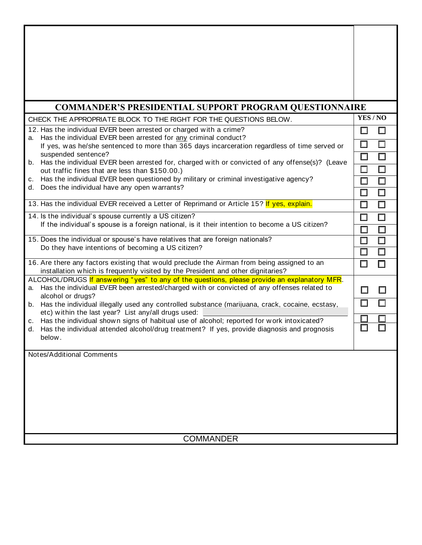| <b>COMMANDER'S PRESIDENTIAL SUPPORT PROGRAM QUESTIONNAIRE</b>                                                                                                                                                                                |          |        |  |                     |  |
|----------------------------------------------------------------------------------------------------------------------------------------------------------------------------------------------------------------------------------------------|----------|--------|--|---------------------|--|
| CHECK THE APPROPRIATE BLOCK TO THE RIGHT FOR THE QUESTIONS BELOW.                                                                                                                                                                            | YES / NO |        |  |                     |  |
| 12. Has the individual EVER been arrested or charged with a crime?<br>Has the individual EVER been arrested for any criminal conduct?<br>а.<br>If yes, was he/she sentenced to more than 365 days incarceration regardless of time served or |          |        |  |                     |  |
|                                                                                                                                                                                                                                              |          |        |  | suspended sentence? |  |
| b. Has the individual EVER been arrested for, charged with or convicted of any offense(s)? (Leave<br>out traffic fines that are less than \$150.00.)                                                                                         |          |        |  |                     |  |
| c. Has the individual EVER been questioned by military or criminal investigative agency?                                                                                                                                                     |          |        |  |                     |  |
| d. Does the individual have any open warrants?                                                                                                                                                                                               | □        | □      |  |                     |  |
| 13. Has the individual EVER received a Letter of Reprimand or Article 15? If yes, explain.                                                                                                                                                   | $\Box$   | □      |  |                     |  |
| 14. Is the individual's spouse currently a US citizen?<br>If the individual's spouse is a foreign national, is it their intention to become a US citizen?                                                                                    |          | □      |  |                     |  |
|                                                                                                                                                                                                                                              |          | $\Box$ |  |                     |  |
| 15. Does the individual or spouse's have relatives that are foreign nationals?                                                                                                                                                               |          |        |  |                     |  |
| Do they have intentions of becoming a US citizen?                                                                                                                                                                                            | $\Box$   | П      |  |                     |  |
| 16. Are there any factors existing that would preclude the Airman from being assigned to an<br>installation which is frequently visited by the President and other dignitaries?                                                              | $\Box$   |        |  |                     |  |
| ALCOHOL/DRUGS If answering "yes" to any of the questions, please provide an explanatory MFR.                                                                                                                                                 |          |        |  |                     |  |
| Has the individual EVER been arrested/charged with or convicted of any offenses related to<br>a.<br>alcohol or drugs?                                                                                                                        | $\Box$   | П      |  |                     |  |
| b. Has the individual illegally used any controlled substance (marijuana, crack, cocaine, ecstasy,                                                                                                                                           |          |        |  |                     |  |
| etc) within the last year? List any/all drugs used:<br>Has the individual shown signs of habitual use of alcohol; reported for work intoxicated?<br>c.                                                                                       |          |        |  |                     |  |
| Has the individual attended alcohol/drug treatment? If yes, provide diagnosis and prognosis<br>d.                                                                                                                                            |          |        |  |                     |  |
| below.                                                                                                                                                                                                                                       |          |        |  |                     |  |
| Notes/Additional Comments                                                                                                                                                                                                                    |          |        |  |                     |  |
|                                                                                                                                                                                                                                              |          |        |  |                     |  |
|                                                                                                                                                                                                                                              |          |        |  |                     |  |
|                                                                                                                                                                                                                                              |          |        |  |                     |  |
|                                                                                                                                                                                                                                              |          |        |  |                     |  |
|                                                                                                                                                                                                                                              |          |        |  |                     |  |
|                                                                                                                                                                                                                                              |          |        |  |                     |  |
| <b>COMMANDER</b>                                                                                                                                                                                                                             |          |        |  |                     |  |